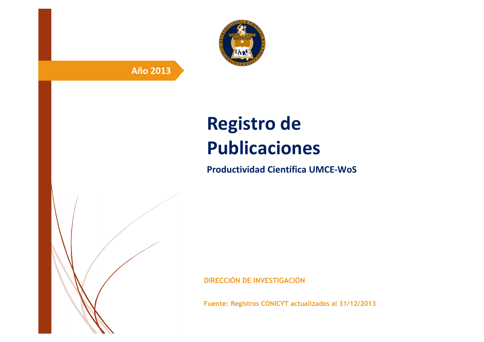

# **Año 2013**

# **Registro de Publicaciones**

**Productividad Científica UMCE-WoS** 

**DIRECCIÓN DE INVESTIGACIÓN**

**Fuente: Registros CONICYT actualizados al 31/12/2013**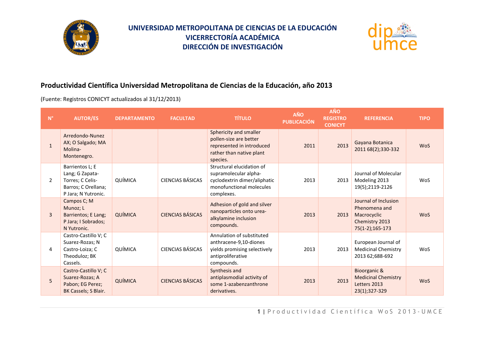

# **UNIVERSIDAD METROPOLITANA DE CIENCIAS DE LA EDUCACIÓN VICERRECTORÍA ACADÉMICA DIRECCIÓN DE INVESTIGACIÓN**



#### **Productividad Científica Universidad Metropolitana de Ciencias de la Educación, año 2013**

(Fuente: Registros CONICYT actualizados al 31/12/2013)

| $\mathsf{N}^\circ$ | <b>AUTOR/ES</b>                                                                                      | <b>DEPARTAMENTO</b> | <b>FACULTAD</b>         | <b>TÍTULO</b>                                                                                                                | <b>AÑO</b><br><b>PUBLICACIÓN</b> | <b>AÑO</b><br><b>REGISTRO</b><br><b>CONICYT</b> | <b>REFERENCIA</b>                                                                         | <b>TIPO</b> |
|--------------------|------------------------------------------------------------------------------------------------------|---------------------|-------------------------|------------------------------------------------------------------------------------------------------------------------------|----------------------------------|-------------------------------------------------|-------------------------------------------------------------------------------------------|-------------|
| $\mathbf{1}$       | Arredondo-Nunez<br>AX; O Salgado; MA<br>Molina-<br>Montenegro.                                       |                     |                         | Sphericity and smaller<br>pollen-size are better<br>represented in introduced<br>rather than native plant<br>species.        | 2011                             | 2013                                            | Gayana Botanica<br>2011 68(2);330-332                                                     | <b>WoS</b>  |
| 2                  | Barrientos L; E<br>Lang; G Zapata-<br>Torres; C Celis-<br>Barros; C Orellana;<br>P Jara; N Yutronic. | QUÍMICA             | CIENCIAS BÁSICAS        | Structural elucidation of<br>supramolecular alpha-<br>cyclodextrin dimer/aliphatic<br>monofunctional molecules<br>complexes. | 2013                             | 2013                                            | Journal of Molecular<br>Modeling 2013<br>19(5);2119-2126                                  | WoS         |
| $\mathbf{3}$       | Campos C; M<br>Munoz; L<br>Barrientos; E Lang;<br>P Jara; I Sobrados;<br>N Yutronic.                 | QUÍMICA             | <b>CIENCIAS BÁSICAS</b> | Adhesion of gold and silver<br>nanoparticles onto urea-<br>alkylamine inclusion<br>compounds.                                | 2013                             | 2013                                            | Journal of Inclusion<br>Phenomena and<br>Macrocyclic<br>Chemistry 2013<br>75(1-2);165-173 | <b>WoS</b>  |
| 4                  | Castro-Castillo V; C<br>Suarez-Rozas; N<br>Castro-Loiza; C<br>Theoduloz; BK<br>Cassels.              | QUÍMICA             | <b>CIENCIAS BÁSICAS</b> | Annulation of substituted<br>anthracene-9,10-diones<br>yields promising selectively<br>antiproliferative<br>compounds.       | 2013                             | 2013                                            | European Journal of<br><b>Medicinal Chemistry</b><br>2013 62;688-692                      | <b>WoS</b>  |
| 5                  | Castro-Castillo V; C<br>Suarez-Rozas: A<br>Pabon; EG Perez;<br>BK Cassels; S Blair.                  | QUÍMICA             | CIENCIAS BÁSICAS        | Synthesis and<br>antiplasmodial activity of<br>some 1-azabenzanthrone<br>derivatives.                                        | 2013                             | 2013                                            | Bioorganic &<br><b>Medicinal Chemistry</b><br>Letters 2013<br>23(1);327-329               | <b>WoS</b>  |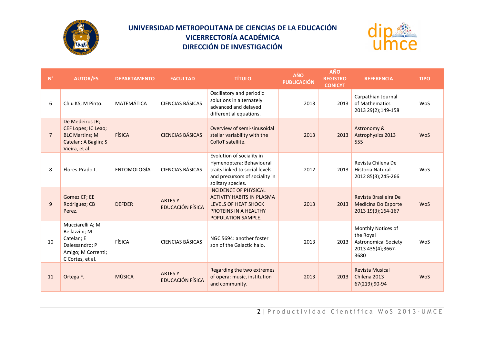

# **UNIVERSIDAD METROPOLITANA DE CIENCIAS DE LA EDUCACIÓN VICERRECTORÍA ACADÉMICA DIRECCIÓN DE INVESTIGACIÓN**



| $\mathsf{N}^\circ$ | <b>AUTOR/ES</b>                                                                                             | <b>DEPARTAMENTO</b> | <b>FACULTAD</b>                           | <b>TÍTULO</b>                                                                                                                                  | <b>AÑO</b><br><b>PUBLICACIÓN</b> | <b>AÑO</b><br><b>REGISTRO</b><br><b>CONICYT</b> | <b>REFERENCIA</b>                                                                           | <b>TIPO</b> |
|--------------------|-------------------------------------------------------------------------------------------------------------|---------------------|-------------------------------------------|------------------------------------------------------------------------------------------------------------------------------------------------|----------------------------------|-------------------------------------------------|---------------------------------------------------------------------------------------------|-------------|
| 6                  | Chiu KS; M Pinto.                                                                                           | MATEMÁTICA          | <b>CIENCIAS BÁSICAS</b>                   | Oscillatory and periodic<br>solutions in alternately<br>advanced and delayed<br>differential equations.                                        | 2013                             | 2013                                            | Carpathian Journal<br>of Mathematics<br>2013 29(2);149-158                                  | WoS         |
| $\overline{7}$     | De Medeiros JR;<br>CEF Lopes; IC Leao;<br><b>BLC Martins; M</b><br>Catelan; A Baglin; S<br>Vieira, et al.   | FÍSICA              | <b>CIENCIAS BÁSICAS</b>                   | Overview of semi-sinusoidal<br>stellar variability with the<br>CoRoT satellite.                                                                | 2013                             | 2013                                            | Astronomy &<br><b>Astrophysics 2013</b><br>555                                              | <b>WoS</b>  |
| 8                  | Flores-Prado L.                                                                                             | ENTOMOLOGÍA         | <b>CIENCIAS BÁSICAS</b>                   | Evolution of sociality in<br>Hymenoptera: Behavioural<br>traits linked to social levels<br>and precursors of sociality in<br>solitary species. | 2012                             | 2013                                            | Revista Chilena De<br><b>Historia Natural</b><br>2012 85(3);245-266                         | WoS         |
| $\overline{9}$     | Gomez CF; EE<br>Rodriguez; CB<br>Perez.                                                                     | <b>DEFDER</b>       | <b>ARTES Y</b><br>EDUCACIÓN FÍSICA        | <b>INCIDENCE OF PHYSICAL</b><br><b>ACTIVITY HABITS IN PLASMA</b><br><b>LEVELS OF HEAT SHOCK</b><br>PROTEINS IN A HEALTHY<br>POPULATION SAMPLE. | 2013                             | 2013                                            | Revista Brasileira De<br>Medicina Do Esporte<br>2013 19(3);164-167                          | <b>WoS</b>  |
| 10                 | Mucciarelli A; M<br>Bellazzini; M<br>Catelan; E<br>Dalessandro; P<br>Amigo; M Correnti;<br>C Cortes, et al. | FÍSICA              | <b>CIENCIAS BÁSICAS</b>                   | NGC 5694: another foster<br>son of the Galactic halo.                                                                                          | 2013                             | 2013                                            | Monthly Notices of<br>the Royal<br><b>Astronomical Society</b><br>2013 435(4);3667-<br>3680 | WoS         |
| 11                 | Ortega F.                                                                                                   | <b>MÚSICA</b>       | <b>ARTES Y</b><br><b>EDUCACIÓN FÍSICA</b> | Regarding the two extremes<br>of opera: music, institution<br>and community.                                                                   | 2013                             | 2013                                            | <b>Revista Musical</b><br>Chilena 2013<br>67(219);90-94                                     | <b>WoS</b>  |